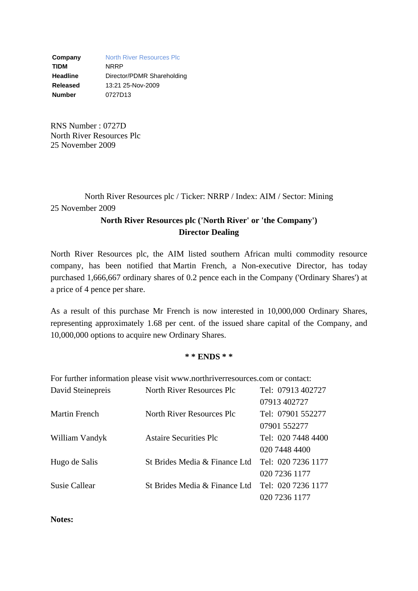**Company** North River Resources Plc **TIDM** NRRP **Headline** Director/PDMR Shareholding **Released** 13:21 25-Nov-2009 **Number** 0727D13

RNS Number : 0727D North River Resources Plc 25 November 2009

North River Resources plc / Ticker: NRRP / Index: AIM / Sector: Mining 25 November 2009

## **North River Resources plc ('North River' or 'the Company') Director Dealing**

North River Resources plc, the AIM listed southern African multi commodity resource company, has been notified that Martin French, a Non-executive Director, has today purchased 1,666,667 ordinary shares of 0.2 pence each in the Company ('Ordinary Shares') at a price of 4 pence per share.

As a result of this purchase Mr French is now interested in 10,000,000 Ordinary Shares, representing approximately 1.68 per cent. of the issued share capital of the Company, and 10,000,000 options to acquire new Ordinary Shares.

## **\* \* ENDS \* \***

For further information please visit www.northriverresources.com or contact:

| David Steinepreis    | North River Resources Plc        | Tel: 07913 402727  |
|----------------------|----------------------------------|--------------------|
|                      |                                  | 07913 402727       |
| <b>Martin French</b> | <b>North River Resources Plc</b> | Tel: 07901 552277  |
|                      |                                  | 07901 552277       |
| William Vandyk       | <b>Astaire Securities Plc</b>    | Tel: 020 7448 4400 |
|                      |                                  | 020 7448 4400      |
| Hugo de Salis        | St Brides Media & Finance Ltd    | Tel: 020 7236 1177 |
|                      |                                  | 020 7236 1177      |
| <b>Susie Callear</b> | St Brides Media & Finance Ltd    | Tel: 020 7236 1177 |
|                      |                                  | 020 7236 1177      |

**Notes:**